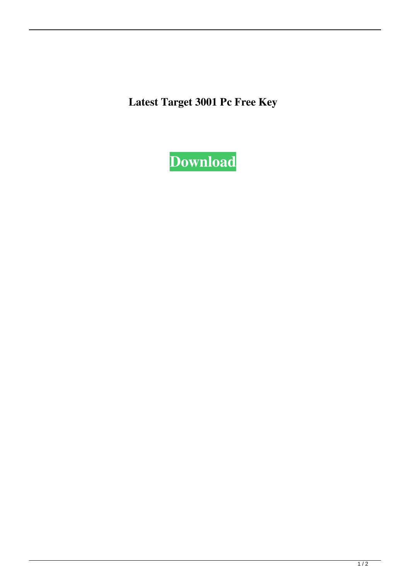**Latest Target 3001 Pc Free Key**